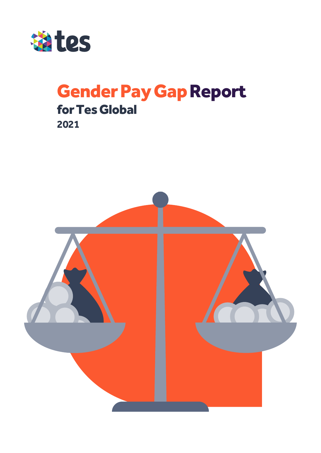

# Gender Pay Gap Report for Tes Global

**2021**

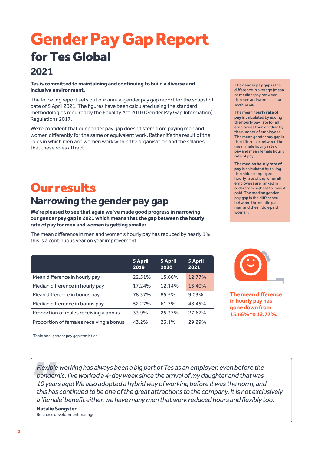# Gender Pay Gap Report for Tes Global **2021**

#### **Tes is committed to maintaining and continuing to build a diverse and inclusive environment.**

The following report sets out our annual gender pay gap report for the snapshot date of 5 April 2021. The figures have been calculated using the standard methodologies required by the Equality Act 2010 (Gender Pay Gap Information) Regulations 2017.

We're confident that our gender pay gap doesn't stem from paying men and women differently for the same or equivalent work. Rather it's the result of the roles in which men and women work within the organisation and the salaries that these roles attract.

# Our results **Narrowing the gender pay gap**

**We're pleased to see that again we've made good progress in narrowing our gender pay gap in 2021 which means that the gap between the hourly rate of pay for men and women is getting smaller.** 

The mean difference in men and women's hourly pay has reduced by nearly 3%, this is a continuous year on year improvement.

|                                         | 5 April<br>2019 | 5 April<br>2020 | <b>5 April</b><br>2021 |
|-----------------------------------------|-----------------|-----------------|------------------------|
| Mean difference in hourly pay           | 22.51%          | 15.66%          | 12.77%                 |
| Median difference in hourly pay         | 17.24%          | 12.14%          | 13.40%                 |
| Mean difference in bonus pay            | 78.37%          | 85.5%           | 9.03%                  |
| Median difference in bonus pay          | 52.27%          | 61.7%           | 48.45%                 |
| Proportion of males receiving a bonus   | 33.9%           | 25.37%          | 27.67%                 |
| Proportion of females receiving a bonus | 43.2%           | 23.1%           | 29.29%                 |

The **gender pay gap** is the difference in average (mean or median) pay between the men and women in our workforce.

The **mean hourly rate of pay** is calculated by adding the hourly pay rate for all employees then dividing by the number of employees. The mean gender pay gap is the difference between the mean male hourly rate of pay and mean female hourly rate of pay.

The **median hourly rate of pay** is calculated by taking the middle employee hourly rate of pay when all employees are ranked in order from highest to lowest paid. The median gender pay gap is the difference between the middle paid man and the middle paid woman.



**Themean difference inhourly pay has gone down from 15.66% to 12.77%.**

Table one: gender pay gap statistics

*Flexible working has always been a big part of Tes as an employer, even before the pandemic. I've worked a 4-day week since the arrival of my daughter and that was 10 years ago! We also adopted a hybrid way of working before it was the norm, and this has continued to be one of the great attractions to the company. It is not exclusively a 'female' benefit either, we have many men that work reduced hours and flexibly too.* **Natalie Sangster**

Business development manager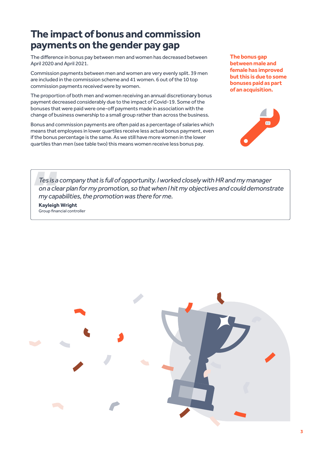### **The impact of bonus and commission payments on the gender pay gap**

The difference in bonus pay between men and women has decreased between April 2020 and April 2021.

Commission payments between men and women are very evenly split. 39 men are included in the commission scheme and 41 women. 6 out of the 10 top commission payments received were by women.

The proportion of both men and women receiving an annual discretionary bonus payment decreased considerably due to the impact of Covid-19. Some of the bonuses that were paid were one-off payments made in association with the change of business ownership to a small group rather than across the business.

Bonus and commission payments are often paid as a percentage of salaries which means that employees in lower quartiles receive less actual bonus payment, even if the bonus percentage is the same. As we still have more women in the lower quartiles than men (see table two) this means women receive less bonus pay.

**The bonus gap between male and female has improved but this is due to some bonuses paid as part of an acquisition.** 



*Tes is a company that is full of opportunity. I worked closely with HR and my manager on a clear plan for my promotion, so that when I hit my objectives and could demonstrate my capabilities, the promotion was there for me.*

**Kayleigh Wright**  Group financial controller

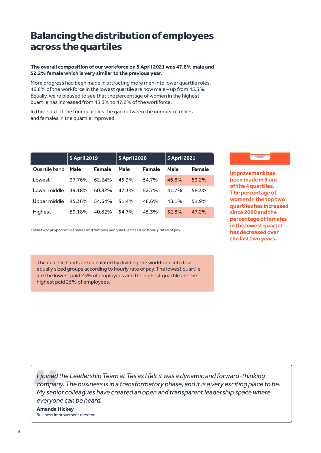## Balancing the distribution of employees across the quartiles

#### **The overall composition of our workforce on 5 April 2021 was 47.8% male and 52.2% female which is very similar to the previous year.**

More progress had been made in attracting more men into lower quartile roles. 46.8% of the workforce in the lowest quartile are now male – up from 45.3%. Equally, we're pleased to see that the percentage of women in the highest quartile has increased from 45.3% to 47.2% of the workforce.

In three out of the four quartiles the gap between the number of males and females in the quartile improved.

|               | <b>5 April 2019</b> |               | <b>5 April 2020</b> |               | <b>5 April 2021</b> |               |
|---------------|---------------------|---------------|---------------------|---------------|---------------------|---------------|
| Quartile band | Male                | <b>Female</b> | Male                | <b>Female</b> | Male                | <b>Female</b> |
| Lowest        | 37.76%              | 62.24%        | 45.3%               | 54.7%         | 46.8%               | 53.2%         |
| Lower middle  | 39.18%              | 60.82%        | 47.3%               | 52.7%         | 41.7%               | 58.3%         |
| Upper middle  | 45.36%              | 54.64%        | 51.4%               | 48.6%         | 48.1%               | 51.9%         |
| Highest       | 59.18%              | 40.82%        | 54.7%               | 45.3%         | 52.8%               | 47.2%         |

Table two: proportion of males and females per quartile based on hourly rates of pay



**Improvement has been made in 3 out of the 4 quartiles. The percentage of women in the top two quartiles has increased since 2020 and the percentage of females in the lowest quarter has decreased over the last two years.** 

The quartile bands are calculated by dividing the workforce into four equally sized groups according to hourly rate of pay. The lowest quartile are the lowest paid 25% of employees and the highest quartile are the highest paid 25% of employees.

*I joined the Leadership Team at Tes as I felt it was a dynamic and forward-thinking company. The business is in a transformatory phase, and it is a very exciting place to be. My senior colleagues have created an open and transparent leadership space where everyone can be heard.*

**Amanda Hickey** Business improvement director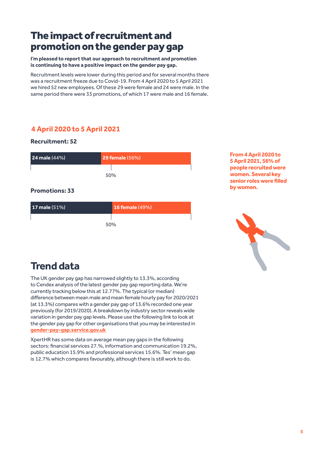### The impact of recruitment and promotion on the gender pay gap

**I'm pleased to report that our approach to recruitment and promotion is continuing to have a positive impact on the gender pay gap.**

Recruitment levels were lower during this period and for several months there was a recruitment freeze due to Covid-19. From 4 April 2020 to 5 April 2021 we hired 52 new employees. Of these 29 were female and 24 were male. In the same period there were 33 promotions, of which 17 were male and 16 female.

### **4 April 2020 to 5 April 2021**

**Recruitment: 52**



#### **Promotions: 33**

| 17 male $(51%)$ | <b>16 female (49%)</b> |  |  |  |
|-----------------|------------------------|--|--|--|
| 50%             |                        |  |  |  |

**From 4 April 2020 to 5 April 2021, 56% of people recruited were women. Several key senior roles were filled by women.** 



# **Trend data**

The UK gender pay gap has narrowed slightly to 13.3%, according to Cendex analysis of the latest gender pay gap reporting data. We're currently tracking below this at 12.77%. The typical (or median) difference between mean male and mean female hourly pay for 2020/2021 (at 13.3%) compares with a gender pay gap of 13.6% recorded one year previously (for 2019/2020). A breakdown by industry sector reveals wide variation in gender pay gap levels. Please use the following link to look at the gender pay gap for other organisations that you may be interested in **[gender-pay-gap.service.gov.uk](https://gender-pay-gap.service.gov.uk/)**

XpertHR has some data on average mean pay gaps in the following sectors: financial services 27.%, information and communication 19.2%, public education 15.9% and professional services 15.6%. Tes' mean gap is 12.7% which compares favourably, although there is still work to do.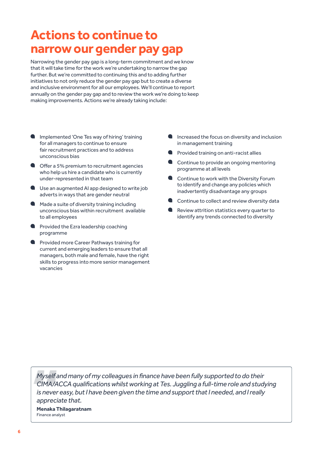# **Actions to continue to narrow our gender pay gap**

Narrowing the gender pay gap is a long-term commitment and we know that it will take time for the work we're undertaking to narrow the gap further. But we're committed to continuing this and to adding further initiatives to not only reduce the gender pay gap but to create a diverse and inclusive environment for all our employees. We'll continue to report annually on the gender pay gap and to review the work we're doing to keep making improvements. Actions we're already taking include:

- Implemented 'One Tes way of hiring' training for all managers to continue to ensure fair recruitment practices and to address unconscious bias
- **Offer a 5% premium to recruitment agencies** who help us hire a candidate who is currently under-represented in that team
- Use an augmented AI app designed to write job adverts in ways that are gender neutral
- Made a suite of diversity training including unconscious bias within recruitment available to all employees
- **Provided the Ezra leadership coaching** programme
- **Provided more Career Pathways training for** current and emerging leaders to ensure that all managers, both male and female, have the right skills to progress into more senior management vacancies
- Increased the focus on diversity and inclusion in management training
- **A** Provided training on anti-racist allies
- Continue to provide an ongoing mentoring programme at all levels
- Continue to work with the Diversity Forum to identify and change any policies which inadvertently disadvantage any groups
- Continue to collect and review diversity data
- Review attrition statistics every quarter to identify any trends connected to diversity

*Myself and many of my colleagues in finance have been fully supported to do their CIMA/ACCA qualifications whilst working at Tes. Juggling a full-time role and studying is never easy, but I have been given the time and support that I needed, and I really appreciate that.*

**Menaka Thilagaratnam** Finance analyst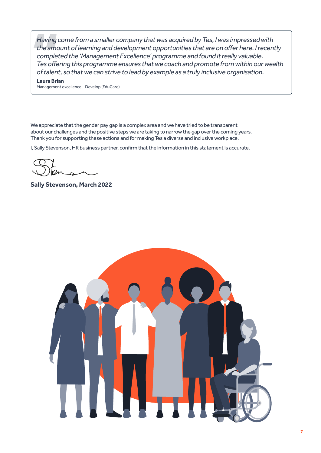*Having come from a smaller company that was acquired by Tes, I was impressed with the amount of learning and development opportunities that are on offer here. I recently completed the 'Management Excellence' programme and found it really valuable. Tes offering this programme ensures that we coach and promote from within our wealth of talent, so that we can strive to lead by example as a truly inclusive organisation.*

**Laura Brian**

Management excellence – Develop (EduCare)

We appreciate that the gender pay gap is a complex area and we have tried to be transparent about our challenges and the positive steps we are taking to narrow the gap over the coming years. Thank you for supporting these actions and for making Tes a diverse and inclusive workplace.

I, Sally Stevenson, HR business partner, confirm that the information in this statement is accurate.

**Sally Stevenson, March 2022**